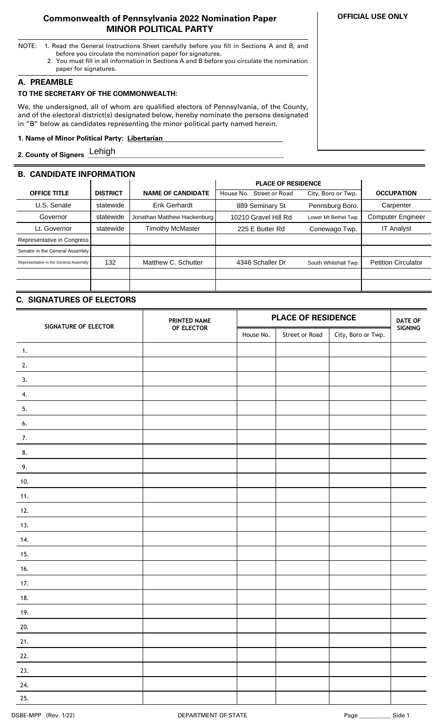### **Commonwealth of Pennsylvania 2022 Nomination Paper MINOR POLITICAL PARTY**

- NOTE: 1. Read the General Instructions Sheet carefully before you fill in Sections A and B, and before you circulate the nomination paper for signatures.
	- 2. You must fill in all information in Sections A and B before you circulate the nomination paper for signatures.

### **A. PREAMBLE**

# **TO THE SECRETARY OF THE COMMONWEALTH:**

We, the undersigned, all of whom are qualified electors of Pennsylvania, of the County, and of the electoral district(s) designated below, hereby nominate the persons designated in "B" below as candidates representing the minor political party named herein.

### **1. Name of Minor Political Party: Libertarian ..**

**2. County of Signers \_\_\_\_\_\_\_\_\_\_\_\_\_\_\_\_\_\_\_\_\_\_\_\_\_\_\_\_\_\_\_\_\_\_\_\_\_\_\_\_\_\_\_\_\_\_\_\_\_\_\_\_\_\_\_\_\_** Lehigh

# **B. CANDIDATE INFORMATION**

|                                        |                 |                             | <b>PLACE OF RESIDENCE</b>          |                      |                            |
|----------------------------------------|-----------------|-----------------------------|------------------------------------|----------------------|----------------------------|
| <b>OFFICE TITLE</b>                    | <b>DISTRICT</b> | <b>NAME OF CANDIDATE</b>    | <b>Street or Road</b><br>House No. | City, Boro or Twp.   | <b>OCCUPATION</b>          |
| U.S. Senate                            | statewide       | <b>Erik Gerhardt</b>        | 889 Seminary St                    | Pennsburg Boro.      | Carpenter                  |
| Governor                               | statewide       | Jonathan Matthew Hackenburg | 10210 Gravel Hill Rd               | Lower Mt Bethel Twp. | <b>Computer Engineer</b>   |
| Lt. Governor                           | statewide       | Timothy McMaster            | 225 E Butter Rd                    | Conewago Twp.        | <b>IT Analyst</b>          |
| Representative in Congress             |                 |                             |                                    |                      |                            |
| Senator in the General Assembly        |                 |                             |                                    |                      |                            |
| Representative in the General Assembly | 132             | Matthew C. Schutter         | 4346 Schaller Dr                   | South Whitehall Twp. | <b>Petition Circulator</b> |
|                                        |                 |                             |                                    |                      |                            |
|                                        |                 |                             |                                    |                      |                            |

## **C. SIGNATURES OF ELECTORS**

| SIGNATURE OF ELECTOR | PRINTED NAME | <b>PLACE OF RESIDENCE</b> |                |                    | <b>DATE OF</b> |
|----------------------|--------------|---------------------------|----------------|--------------------|----------------|
|                      | OF ELECTOR   | House No.                 | Street or Road | City, Boro or Twp. | SIGNING        |
| $\mathbf{1}$ .       |              |                           |                |                    |                |
| 2.                   |              |                           |                |                    |                |
| 3.                   |              |                           |                |                    |                |
| 4.                   |              |                           |                |                    |                |
| 5.                   |              |                           |                |                    |                |
| 6.                   |              |                           |                |                    |                |
| 7.                   |              |                           |                |                    |                |
| 8.                   |              |                           |                |                    |                |
| 9.                   |              |                           |                |                    |                |
| 10.                  |              |                           |                |                    |                |
| 11.                  |              |                           |                |                    |                |
| 12.                  |              |                           |                |                    |                |
| 13.                  |              |                           |                |                    |                |
| 14.                  |              |                           |                |                    |                |
| 15.                  |              |                           |                |                    |                |
| 16.                  |              |                           |                |                    |                |
| 17.                  |              |                           |                |                    |                |
| 18.                  |              |                           |                |                    |                |
| 19.                  |              |                           |                |                    |                |
| 20.                  |              |                           |                |                    |                |
| 21.                  |              |                           |                |                    |                |
| 22.                  |              |                           |                |                    |                |
| 23.                  |              |                           |                |                    |                |
| 24.                  |              |                           |                |                    |                |
| 25.                  |              |                           |                |                    |                |